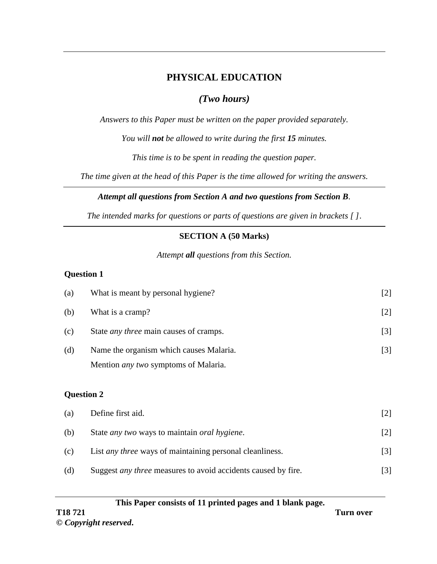## **PHYSICAL EDUCATION**

## *(Two hours)*

*Answers to this Paper must be written on the paper provided separately.*

*You will not be allowed to write during the first 15 minutes.*

*This time is to be spent in reading the question paper.*

*The time given at the head of this Paper is the time allowed for writing the answers.*

## *Attempt all questions from Section A and two questions from Section B.*

*The intended marks for questions or parts of questions are given in brackets [ ]*.

## **SECTION A (50 Marks)**

*Attempt all questions from this Section.*

## **Question 1**

| <b>Question 2</b> |                                               |                   |
|-------------------|-----------------------------------------------|-------------------|
|                   | Mention <i>any two</i> symptoms of Malaria.   |                   |
| (d)               | Name the organism which causes Malaria.       | $\lceil 3 \rceil$ |
| (c)               | State <i>any three</i> main causes of cramps. | $[3]$             |
| (b)               | What is a cramp?                              | $[2]$             |
| (a)               | What is meant by personal hygiene?            | $[2]$             |

# (a) Define first aid. [2]

| (b) | State <i>any</i> two ways to maintain <i>oral hygiene</i> .          | [2]               |
|-----|----------------------------------------------------------------------|-------------------|
| (c) | List <i>any three</i> ways of maintaining personal cleanliness.      | $\lceil 3 \rceil$ |
| (d) | Suggest <i>any three</i> measures to avoid accidents caused by fire. | [3]               |

#### **This Paper consists of 11 printed pages and 1 blank page.**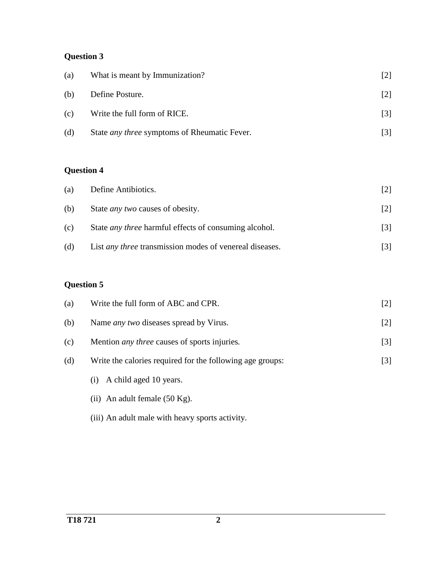# **Question 3**

| (a) | What is meant by Immunization?                      | 2                 |
|-----|-----------------------------------------------------|-------------------|
| (b) | Define Posture.                                     | $\lceil 2 \rceil$ |
| (c) | Write the full form of RICE.                        | $\lceil 3 \rceil$ |
| (d) | State <i>any three</i> symptoms of Rheumatic Fever. |                   |

# **Question 4**

| (a) | Define Antibiotics.                                            | 2                 |
|-----|----------------------------------------------------------------|-------------------|
| (b) | State <i>any</i> two causes of obesity.                        | $\lceil 2 \rceil$ |
| (c) | State <i>any three</i> harmful effects of consuming alcohol.   | $\lceil 3 \rceil$ |
| (d) | List <i>any three</i> transmission modes of venereal diseases. | $\lceil 3 \rceil$ |

# **Question 5**

| (a) | Write the full form of ABC and CPR.                       | $[2]$             |
|-----|-----------------------------------------------------------|-------------------|
| (b) | Name <i>any two</i> diseases spread by Virus.             | $[2]$             |
| (c) | Mention <i>any three</i> causes of sports injuries.       | $[3]$             |
| (d) | Write the calories required for the following age groups: | $\lceil 3 \rceil$ |
|     | A child aged 10 years.<br>(1)                             |                   |
|     | (ii) An adult female $(50 \text{ Kg})$ .                  |                   |

(iii) An adult male with heavy sports activity.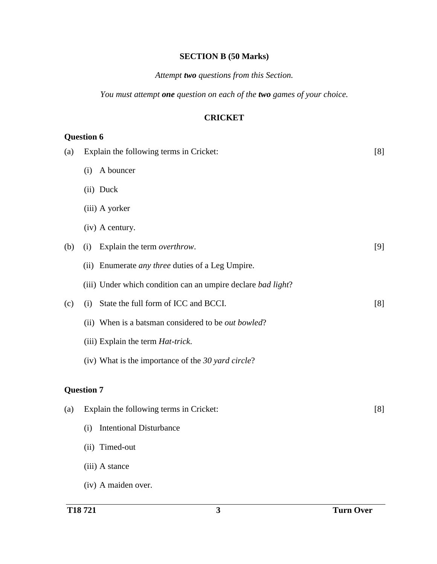## **SECTION B (50 Marks)**

#### *Attempt two questions from this Section.*

*You must attempt one question on each of the two games of your choice.*

#### **CRICKET**

| (a) | Explain the following terms in Cricket: |                                                              | [8] |
|-----|-----------------------------------------|--------------------------------------------------------------|-----|
|     | (i)                                     | A bouncer                                                    |     |
|     |                                         | (ii) Duck                                                    |     |
|     |                                         | (iii) A yorker                                               |     |
|     |                                         | (iv) A century.                                              |     |
| (b) | (i)                                     | Explain the term overthrow.                                  | [9] |
|     |                                         | (ii) Enumerate <i>any three</i> duties of a Leg Umpire.      |     |
|     |                                         | (iii) Under which condition can an umpire declare bad light? |     |
| (c) | (i)                                     | State the full form of ICC and BCCI.                         | [8] |
|     |                                         | (ii) When is a batsman considered to be <i>out bowled</i> ?  |     |
|     |                                         | (iii) Explain the term <i>Hat-trick</i> .                    |     |
|     |                                         | (iv) What is the importance of the 30 yard circle?           |     |
|     | <b>Question 7</b>                       |                                                              |     |
| (a) |                                         | Explain the following terms in Cricket:                      | [8] |
|     | (i)                                     | <b>Intentional Disturbance</b>                               |     |
|     |                                         | (ii) Timed-out                                               |     |
|     |                                         | (iii) A stance                                               |     |
|     |                                         | (iv) A maiden over.                                          |     |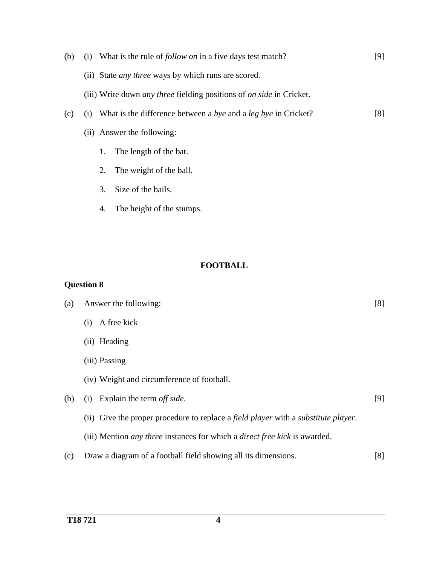| (b) | (i) What is the rule of <i>follow on</i> in a five days test match?                | [9] |
|-----|------------------------------------------------------------------------------------|-----|
|     | (ii) State <i>any three</i> ways by which runs are scored.                         |     |
|     | (iii) Write down <i>any three</i> fielding positions of <i>on side</i> in Cricket. |     |
| (c) | What is the difference between a bye and a leg bye in Cricket?<br>(i)              | [8] |
|     | (ii) Answer the following:                                                         |     |
|     | The length of the bat.<br>1.                                                       |     |
|     | The weight of the ball.<br>2.                                                      |     |
|     | Size of the bails.<br>3.                                                           |     |
|     | The height of the stumps.<br>4.                                                    |     |

#### **FOOTBALL**

| (a) | Answer the following:                                                                    |     |
|-----|------------------------------------------------------------------------------------------|-----|
|     | A free kick<br>(i)                                                                       |     |
|     | (ii) Heading                                                                             |     |
|     | (iii) Passing                                                                            |     |
|     | (iv) Weight and circumference of football.                                               |     |
| (b) | Explain the term off side.<br>(i)                                                        | [9] |
|     | (ii) Give the proper procedure to replace a field player with a substitute player.       |     |
|     | (iii) Mention <i>any three</i> instances for which a <i>direct free kick</i> is awarded. |     |
| (c) | Draw a diagram of a football field showing all its dimensions.                           | [8] |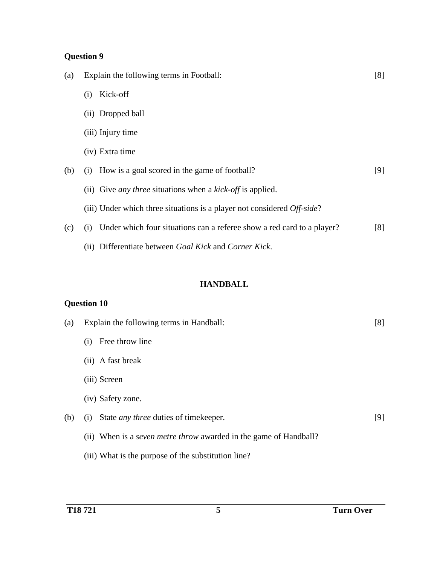# **Question 9**

| (a) | Explain the following terms in Football:                                            |     |
|-----|-------------------------------------------------------------------------------------|-----|
|     | Kick-off<br>(i)                                                                     |     |
|     | (ii) Dropped ball                                                                   |     |
|     | (iii) Injury time                                                                   |     |
|     | (iv) Extra time                                                                     |     |
| (b) | How is a goal scored in the game of football?<br>(i)                                | [9] |
|     | (ii) Give <i>any three</i> situations when a <i>kick-off</i> is applied.            |     |
|     | (iii) Under which three situations is a player not considered $Off \text{-} side$ ? |     |
| (c) | Under which four situations can a referee show a red card to a player?<br>(i)       | [8] |
|     | (ii) Differentiate between Goal Kick and Corner Kick.                               |     |

## **HANDBALL**

| (a) | Explain the following terms in Handball:                                 | [8] |
|-----|--------------------------------------------------------------------------|-----|
|     | Free throw line<br>(i)                                                   |     |
|     | (ii) A fast break                                                        |     |
|     | (iii) Screen                                                             |     |
|     | (iv) Safety zone.                                                        |     |
| (b) | State <i>any three</i> duties of timekeeper.<br>(i)                      | [9] |
|     | (ii) When is a <i>seven metre throw</i> awarded in the game of Handball? |     |
|     | (iii) What is the purpose of the substitution line?                      |     |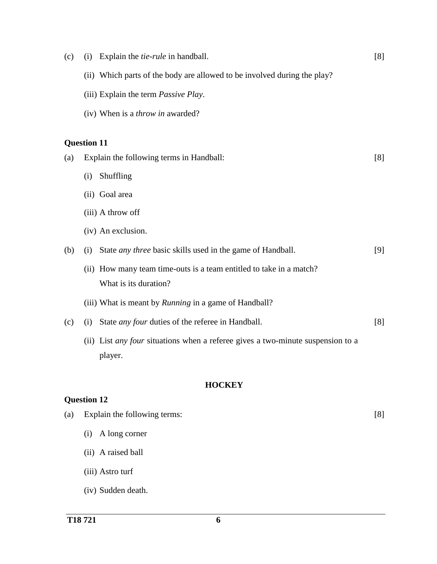| (c) | Explain the <i>tie-rule</i> in handball.<br>(i)                                        | [8] |
|-----|----------------------------------------------------------------------------------------|-----|
|     | (ii) Which parts of the body are allowed to be involved during the play?               |     |
|     | (iii) Explain the term <i>Passive Play</i> .                                           |     |
|     | (iv) When is a <i>throw in</i> awarded?                                                |     |
|     |                                                                                        |     |
|     | <b>Question 11</b>                                                                     |     |
| (a) | Explain the following terms in Handball:                                               | [8] |
|     | Shuffling<br>(i)                                                                       |     |
|     | (ii) Goal area                                                                         |     |
|     | (iii) A throw off                                                                      |     |
|     | (iv) An exclusion.                                                                     |     |
| (b) | State <i>any three</i> basic skills used in the game of Handball.<br>(i)               | [9] |
|     | (ii) How many team time-outs is a team entitled to take in a match?                    |     |
|     | What is its duration?                                                                  |     |
|     | (iii) What is meant by <i>Running</i> in a game of Handball?                           |     |
| (c) | State <i>any four</i> duties of the referee in Handball.<br>(i)                        | [8] |
|     | (ii) List <i>any four</i> situations when a referee gives a two-minute suspension to a |     |
|     | player.                                                                                |     |
|     |                                                                                        |     |
|     | <b>HOCKEY</b><br><b>Question 12</b>                                                    |     |
|     | Explain the following terms:                                                           |     |
| (a) |                                                                                        | [8] |
|     | A long corner<br>(i)                                                                   |     |
|     | (ii) A raised ball                                                                     |     |
|     | (iii) Astro turf                                                                       |     |

(iv) Sudden death.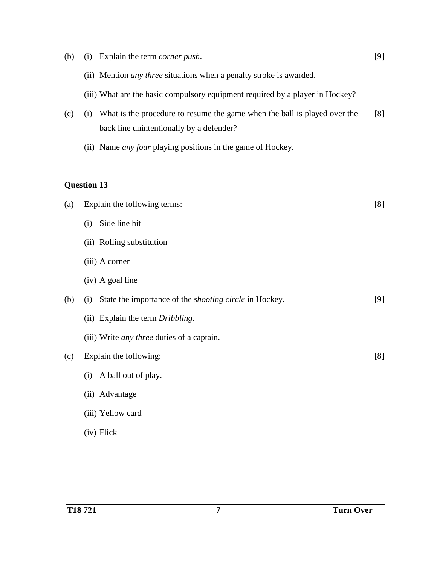| (b) | (i)                | Explain the term <i>corner push</i> .                                                                                 | [9] |
|-----|--------------------|-----------------------------------------------------------------------------------------------------------------------|-----|
|     |                    | (ii) Mention <i>any three</i> situations when a penalty stroke is awarded.                                            |     |
|     |                    | (iii) What are the basic compulsory equipment required by a player in Hockey?                                         |     |
| (c) | (i)                | What is the procedure to resume the game when the ball is played over the<br>back line unintentionally by a defender? | [8] |
|     |                    | (ii) Name <i>any four</i> playing positions in the game of Hockey.                                                    |     |
|     |                    |                                                                                                                       |     |
|     | <b>Question 13</b> |                                                                                                                       |     |
| (a) |                    | Explain the following terms:                                                                                          | [8] |
|     | (i)                | Side line hit                                                                                                         |     |
|     |                    | (ii) Rolling substitution                                                                                             |     |
|     |                    | (iii) A corner                                                                                                        |     |
|     |                    | (iv) A goal line                                                                                                      |     |
| (b) | (i)                | State the importance of the <i>shooting circle</i> in Hockey.                                                         | [9] |
|     |                    | (ii) Explain the term Dribbling.                                                                                      |     |
|     |                    | (iii) Write <i>any three</i> duties of a captain.                                                                     |     |
| (c) |                    | Explain the following:                                                                                                | [8] |
|     | (i)                | A ball out of play.                                                                                                   |     |
|     |                    | (ii) Advantage                                                                                                        |     |
|     |                    | (iii) Yellow card                                                                                                     |     |
|     |                    | (iv) Flick                                                                                                            |     |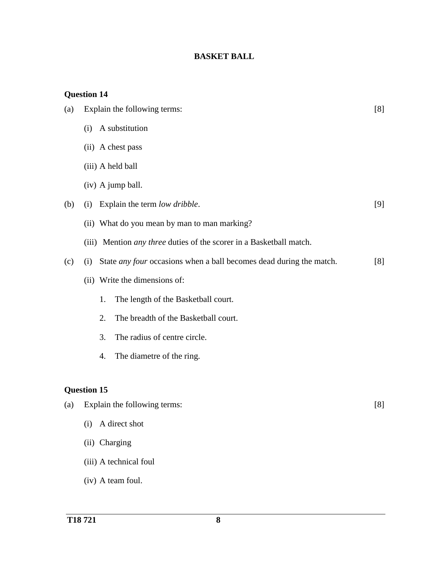## **BASKET BALL**

| (a) | Explain the following terms:                                                      | [8] |
|-----|-----------------------------------------------------------------------------------|-----|
|     | A substitution<br>(i)                                                             |     |
|     | (ii) A chest pass                                                                 |     |
|     | (iii) A held ball                                                                 |     |
|     | (iv) A jump ball.                                                                 |     |
| (b) | Explain the term low dribble.<br>(i)                                              | [9] |
|     | (ii) What do you mean by man to man marking?                                      |     |
|     | (iii) Mention <i>any three</i> duties of the scorer in a Basketball match.        |     |
| (c) | State <i>any four</i> occasions when a ball becomes dead during the match.<br>(i) | [8] |
|     | (ii) Write the dimensions of:                                                     |     |
|     | The length of the Basketball court.<br>1.                                         |     |
|     | The breadth of the Basketball court.<br>2.                                        |     |
|     | The radius of centre circle.<br>3.                                                |     |
|     | The diametre of the ring.<br>4.                                                   |     |
|     |                                                                                   |     |
|     | <b>Question 15</b>                                                                |     |
| (a) | Explain the following terms:                                                      | [8] |
|     | (i) A direct shot                                                                 |     |
|     | (ii) Charging                                                                     |     |
|     | (iii) A technical foul                                                            |     |
|     | (iv) A team foul.                                                                 |     |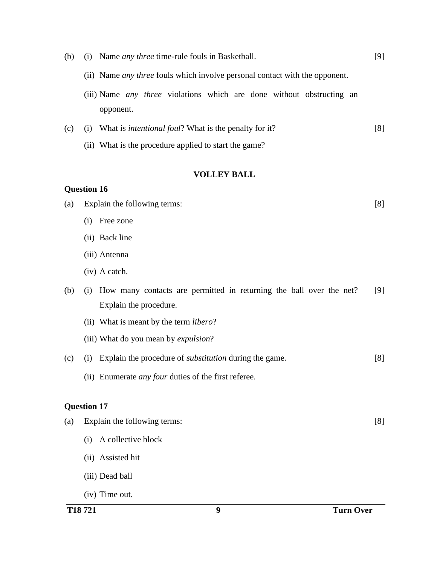(iii) Name *any three* violations which are done without obstructing an opponent. (c) (i) What is *intentional foul*? What is the penalty for it? (ii) What is the procedure applied to start the game? [8] **VOLLEY BALL Question 16** (a) Explain the following terms: (i) Free zone (ii) Back line (iii) Antenna (iv) A catch. [8] (b) (i) How many contacts are permitted in returning the ball over the net? Explain the procedure. (ii) What is meant by the term *libero*? (iii) What do you mean by *expulsion*? [9] (c) (i) Explain the procedure of *substitution* during the game. (ii) Enumerate *any four* duties of the first referee. [8] **Question 17** (a) Explain the following terms: (i) A collective block (ii) Assisted hit (iii) Dead ball (iv) Time out. [8]

(ii) Name *any three* fouls which involve personal contact with the opponent.

(b) (i) Name *any three* time-rule fouls in Basketball.

[9]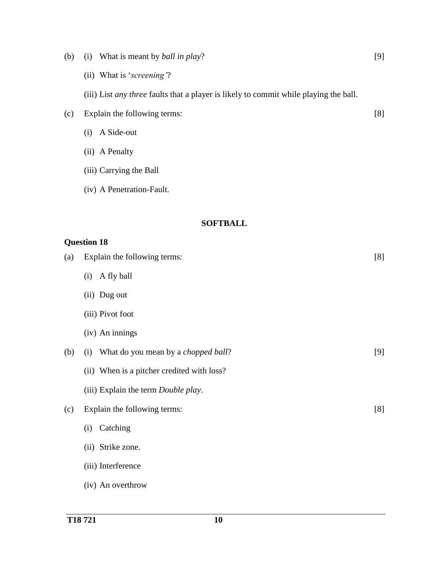| (b) | What is meant by ball in play?<br>(i)                                                 | $[9]$ |
|-----|---------------------------------------------------------------------------------------|-------|
|     | (ii) What is 'screening'?                                                             |       |
|     | (iii) List any three faults that a player is likely to commit while playing the ball. |       |
| (c) | Explain the following terms:                                                          | [8]   |
|     | A Side-out<br>(i)                                                                     |       |
|     | (ii) A Penalty                                                                        |       |
|     | (iii) Carrying the Ball                                                               |       |
|     | (iv) A Penetration-Fault.                                                             |       |
|     |                                                                                       |       |
|     | <b>SOFTBALL</b>                                                                       |       |
|     | <b>Question 18</b>                                                                    |       |
| (a) | Explain the following terms:                                                          | [8]   |
|     | A fly ball<br>(i)                                                                     |       |
|     | (ii) Dug out                                                                          |       |
|     | (iii) Pivot foot                                                                      |       |
|     | (iv) An innings                                                                       |       |
| (b) | What do you mean by a <i>chopped ball</i> ?<br>(i)                                    | [9]   |
|     | (ii) When is a pitcher credited with loss?                                            |       |
|     | (iii) Explain the term Double play.                                                   |       |
| (c) | Explain the following terms:                                                          | [8]   |
|     | Catching<br>(i)                                                                       |       |
|     | (ii) Strike zone.                                                                     |       |
|     | (iii) Interference                                                                    |       |
|     | (iv) An overthrow                                                                     |       |
|     |                                                                                       |       |